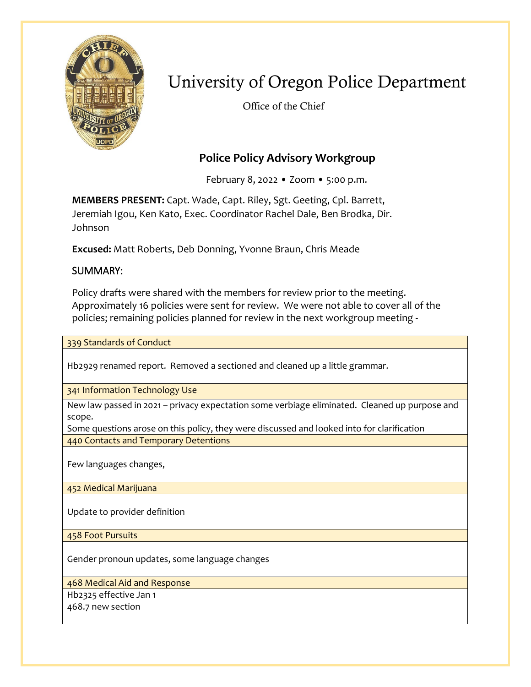

# University of Oregon Police Department

Office of the Chief

## **Police Policy Advisory Workgroup**

February 8, 2022 • Zoom • 5:00 p.m.

**MEMBERS PRESENT:** Capt. Wade, Capt. Riley, Sgt. Geeting, Cpl. Barrett, Jeremiah Igou, Ken Kato, Exec. Coordinator Rachel Dale, Ben Brodka, Dir. Johnson

**Excused:** Matt Roberts, Deb Donning, Yvonne Braun, Chris Meade

### SUMMARY:

Policy drafts were shared with the members for review prior to the meeting. Approximately 16 policies were sent for review. We were not able to cover all of the policies; remaining policies planned for review in the next workgroup meeting -

339 Standards of Conduct

Hb2929 renamed report. Removed a sectioned and cleaned up a little grammar.

341 Information Technology Use

New law passed in 2021 – privacy expectation some verbiage eliminated. Cleaned up purpose and scope.

Some questions arose on this policy, they were discussed and looked into for clarification 440 Contacts and Temporary Detentions

Few languages changes,

452 Medical Marijuana

Update to provider definition

458 Foot Pursuits

Gender pronoun updates, some language changes

468 Medical Aid and Response

Hb2325 effective Jan 1

468.7 new section